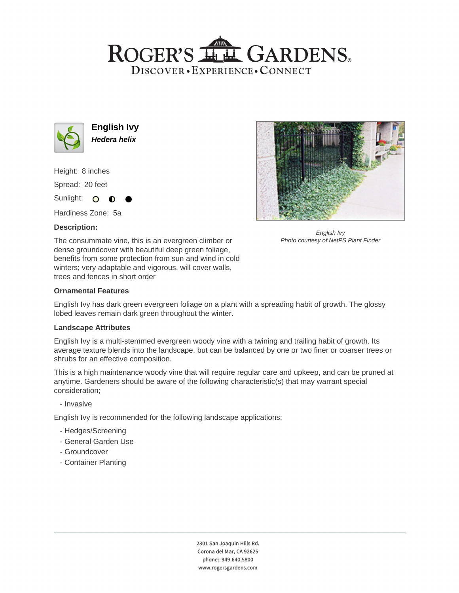## ROGER'S LLE GARDENS. DISCOVER · EXPERIENCE · CONNECT



**English Ivy Hedera helix**

Height: 8 inches

Spread: 20 feet

Sunlight: O  $\bullet$ 

Hardiness Zone: 5a

## **Description:**





English Ivy Photo courtesy of NetPS Plant Finder

#### **Ornamental Features**

English Ivy has dark green evergreen foliage on a plant with a spreading habit of growth. The glossy lobed leaves remain dark green throughout the winter.

#### **Landscape Attributes**

English Ivy is a multi-stemmed evergreen woody vine with a twining and trailing habit of growth. Its average texture blends into the landscape, but can be balanced by one or two finer or coarser trees or shrubs for an effective composition.

This is a high maintenance woody vine that will require regular care and upkeep, and can be pruned at anytime. Gardeners should be aware of the following characteristic(s) that may warrant special consideration;

- Invasive

English Ivy is recommended for the following landscape applications;

- Hedges/Screening
- General Garden Use
- Groundcover
- Container Planting

2301 San Joaquin Hills Rd. Corona del Mar, CA 92625 phone: 949.640.5800 www.rogersgardens.com